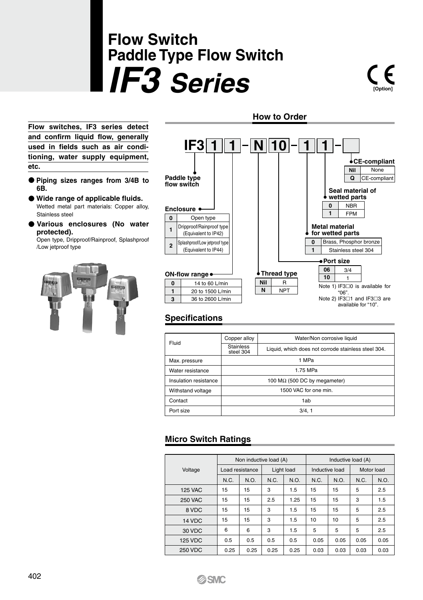# **Flow Switch Paddle Type Flow Switch** *IF3 Series* **[Option]**

**Flow switches, IF3 series detect and confirm liquid flow, generally used in fields such as air conditioning, water supply equipment, etc.**

- **Piping sizes ranges from 3/4B to 6B.**
- **Wide range of applicable fluids.** Wetted metal part materials: Copper alloy, Stainless steel
- **Various enclosures (No water protected).**

Open type, Dripproof/Rainproof, Splashproof /Low jetproof type





## **Specifications**

| Fluid                 | Copper alloy                         | Water/Non corrosive liquid                          |  |  |  |
|-----------------------|--------------------------------------|-----------------------------------------------------|--|--|--|
|                       | <b>Stainless</b><br>steel 304        | Liquid, which does not corrode stainless steel 304. |  |  |  |
| Max. pressure         |                                      | 1 MPa                                               |  |  |  |
| Water resistance      | 1.75 MPa                             |                                                     |  |  |  |
| Insulation resistance | 100 M $\Omega$ (500 DC by megameter) |                                                     |  |  |  |
| Withstand voltage     |                                      | 1500 VAC for one min.                               |  |  |  |
| Contact               |                                      | 1ab                                                 |  |  |  |
| Port size             |                                      | 3/4.1                                               |  |  |  |

# **Micro Switch Ratings**

|                |          | Non inductive load (A) |            |      | Inductive load (A) |                |            |      |  |  |
|----------------|----------|------------------------|------------|------|--------------------|----------------|------------|------|--|--|
| Voltage        |          | Load resistance        | Light load |      |                    | Inductive load | Motor load |      |  |  |
|                | N.C.     | N.O.                   | N.C.       | N.O. | N.C.               | N.O.           | N.C.       | N.O. |  |  |
| <b>125 VAC</b> | 15<br>15 |                        | 3          | 1.5  | 15                 | 15             | 5          | 2.5  |  |  |
| <b>250 VAC</b> | 15<br>15 |                        | 2.5        | 1.25 | 15<br>15           |                | 3          | 1.5  |  |  |
| 8 VDC          | 15<br>15 |                        | 3          | 1.5  | 15                 | 15             | 5          | 2.5  |  |  |
| 14 VDC         | 15<br>15 |                        | 3          | 1.5  | 10                 | 10             | 5          | 2.5  |  |  |
| 30 VDC         | 6        | 6                      | 3          | 1.5  | 5                  | 5              | 5          | 2.5  |  |  |
| <b>125 VDC</b> | 0.5      | 0.5                    | 0.5        | 0.5  | 0.05               | 0.05           | 0.05       | 0.05 |  |  |
| <b>250 VDC</b> | 0.25     | 0.25                   | 0.25       | 0.25 | 0.03               | 0.03           | 0.03       | 0.03 |  |  |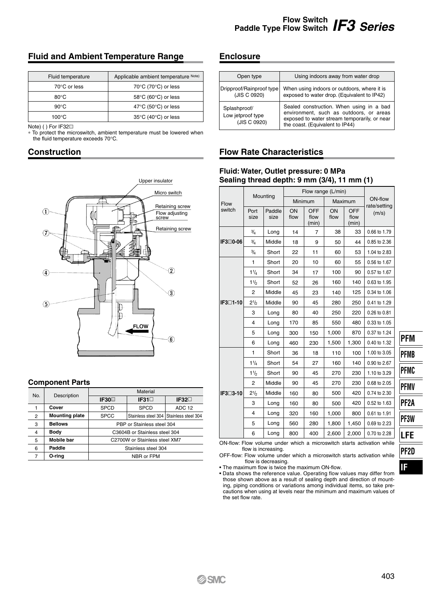## **Fluid and Ambient Temperature Range**

| Fluid temperature | Applicable ambient temperature Note) |
|-------------------|--------------------------------------|
| 70°C or less      | 70°C (70°C) or less                  |
| $80^{\circ}$ C    | 58°C (60°C) or less                  |
| $90^{\circ}$ C    | 47°C (50°C) or less                  |
| $100^{\circ}$ C   | 35°C (40°C) or less                  |

Note) ( ) For IF32

∗ To protect the microswitch, ambient temperature must be lowered when the fluid temperature exceeds 70°C.

#### **Construction**



#### **Component Parts**

| No.            | Description           | Material                      |                                         |                |  |  |  |  |  |
|----------------|-----------------------|-------------------------------|-----------------------------------------|----------------|--|--|--|--|--|
|                |                       | IF30 <sub>D</sub>             | $IF31\square$                           | IF32 $\square$ |  |  |  |  |  |
|                | Cover                 | <b>SPCD</b>                   | <b>SPCD</b>                             | ADC 12         |  |  |  |  |  |
| $\overline{2}$ | <b>Mounting plate</b> | <b>SPCC</b>                   | Stainless steel 304 Stainless steel 304 |                |  |  |  |  |  |
| 3              | <b>Bellows</b>        | PBP or Stainless steel 304    |                                         |                |  |  |  |  |  |
| 4              | Body                  | C3604B or Stainless steel 304 |                                         |                |  |  |  |  |  |
| 5              | <b>Mobile bar</b>     | C2700W or Stainless steel XM7 |                                         |                |  |  |  |  |  |
| 6              | Paddle                | Stainless steel 304           |                                         |                |  |  |  |  |  |
| 7              | O-rina                | NBR or FPM                    |                                         |                |  |  |  |  |  |

#### **Enclosure**

| Open type                                         | Using indoors away from water drop                                                                                                                                     |
|---------------------------------------------------|------------------------------------------------------------------------------------------------------------------------------------------------------------------------|
| Dripproof/Rainproof type<br>(JIS C 0920)          | When using indoors or outdoors, where it is<br>exposed to water drop. (Equivalent to IP42)                                                                             |
| Splashproof/<br>Low jetproof type<br>(JIS C 0920) | Sealed construction. When using in a bad<br>environment, such as outdoors, or areas<br>exposed to water stream temporarily, or near<br>the coast. (Equivalent to IP44) |

### **Flow Rate Characteristics**

#### **Fluid: Water, Outlet pressure: 0 MPa Sealing thread depth: 9 mm (3/4), 11 mm (1)**

|                      |                               | Mounting       | Flow range (L/min) |                      |            |                      |                         |
|----------------------|-------------------------------|----------------|--------------------|----------------------|------------|----------------------|-------------------------|
| Flow                 |                               |                | Minimum            |                      | Maximum    |                      | ON-flow<br>rate/setting |
| switch               | Port<br>size                  | Paddle<br>size | ON<br>flow         | OFF<br>flow<br>(min) | ON<br>flow | OFF<br>flow<br>(min) | (m/s)                   |
|                      | $\frac{3}{4}$                 | Long           | 14                 | $\overline{7}$       | 38         | 33                   | 0.66 to 1.79            |
| IF3□0-06             | 3/4                           | Middle         | 18                 | 9                    | 50         | 44                   | 0.85 to 2.36            |
|                      | 3/4                           | Short          | 22                 | 11                   | 60         | 53                   | 1.04 to 2.83            |
|                      | 1                             | Short          | 20                 | 10                   | 60         | 55                   | 0.56 to 1.67            |
|                      | $1\frac{1}{4}$                | Short          | 34                 | 17                   | 100        | 90                   | 0.57 to 1.67            |
|                      | 11/2                          | Short          | 52                 | 26                   | 160        | 140                  | 0.63 to 1.95            |
|                      | 2                             | Middle         | 45                 | 23                   | 140        | 125                  | 0.34 to 1.06            |
| IF3 <sup>∩1-10</sup> | $2\frac{1}{2}$                | Middle         | 90                 | 45                   | 280        | 250                  | 0.41 to 1.29            |
|                      | 3                             | Long           | 80                 | 40                   | 250        | 220                  | 0.26 to 0.81            |
|                      | 4                             | Long           | 170                | 85                   | 550        | 480                  | 0.33 to 1.05            |
|                      | 5                             | Long           | 300                | 150                  | 1.000      | 870                  | 0.37 to 1.24            |
|                      | 6                             | Long           | 460                | 230                  | 1,500      | 1,300                | 0.40 to 1.32            |
|                      | 1                             | Short          | 36                 | 18                   | 110        | 100                  | 1.00 to 3.05            |
|                      | $1\frac{1}{4}$                | Short          | 54                 | 27                   | 160        | 140                  | 0.90 to 2.67            |
|                      | $1\frac{1}{2}$                | Short          | 90                 | 45                   | 270        | 230                  | 1.10 to 3.29            |
|                      | 2                             | Middle         | 90                 | 45                   | 270        | 230                  | 0.68 to 2.05            |
| IF3 <sup>3-10</sup>  | 2 <sup>1</sup> / <sub>2</sub> | Middle         | 160                | 80                   | 500        | 420                  | 0.74 to 2.30            |
|                      | 3                             | Long           | 160                | 80                   | 500        | 420                  | 0.52 to 1.63            |
|                      | 4                             | Long           | 320                | 160                  | 1.000      | 800                  | 0.61 to 1.91            |
|                      | 5                             | Long           | 560                | 280                  | 1.800      | 1.450                | 0.69 to 2.23            |
|                      | 6                             | Long           | 800                | 400                  | 2.600      | 2.000                | 0.70 to 2.28            |

ON-flow: Flow volume under which a microswitch starts activation while flow is increasing.

OFF-flow: Flow volume under which a microswitch starts activation while flow is decreasing.

• The maximum flow is twice the maximum ON-flow.

• Data shows the reference value. Operating flow values may differ from those shown above as a result of sealing depth and direction of mounting, piping conditions or variations among individual items, so take precautions when using at levels near the minimum and maximum values of the set flow rate.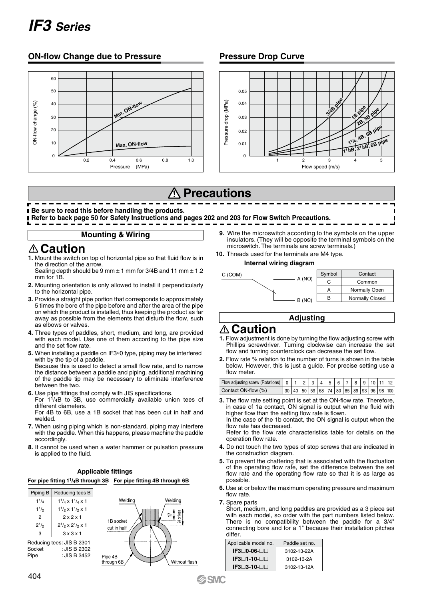# *IF3 Series*

#### **ON-flow Change due to Pressure Pressure Drop Curve**





# **Precautions**

**Be sure to read this before handling the products.** 

**Refer to back page 50 for Safety Instructions and pages 202 and 203 for Flow Switch Precautions.**

#### **Mounting & Wiring**

# **Caution**

**1.** Mount the switch on top of horizontal pipe so that fluid flow is in the direction of the arrow.

Sealing depth should be 9 mm ± 1 mm for 3/4B and 11 mm ± 1.2 mm for 1B.

- **2.** Mounting orientation is only allowed to install it perpendicularly to the horizontal pipe.
- **3.** Provide a straight pipe portion that corresponds to approximately 5 times the bore of the pipe before and after the area of the pipe on which the product is installed, thus keeping the product as far away as possible from the elements that disturb the flow, such as elbows or valves.
- **4.** Three types of paddles, short, medium, and long, are provided with each model. Use one of them according to the pipe size and the set flow rate.
- **5.** When installing a paddle on IF3∗0 type, piping may be interfered with by the tip of a paddle.

Because this is used to detect a small flow rate, and to narrow the distance between a paddle and piping, additional machining of the paddle tip may be necessary to eliminate interference between the two.

- **6.** Use pipe fittings that comply with JIS specifications.
- For  $1^{1}/_{4}B$  to 3B, use commercially available union tees of different diameters.

For 4B to 6B, use a 1B socket that has been cut in half and welded.

- **7.** When using piping which is non-standard, piping may interfere with the paddle. When this happens, please machine the paddle accordingly.
- **8.** It cannot be used when a water hammer or pulsation pressure is applied to the fluid.

#### **Applicable fittings**

**For pipe fitting 11/4B through 3B For pipe fitting 4B through 6B**

| Piping B       | Reducing tees B                     |  |  |  |  |
|----------------|-------------------------------------|--|--|--|--|
| $1^{1}/_{4}$   | $1\frac{1}{4}$ x $1\frac{1}{4}$ x 1 |  |  |  |  |
| 11/2           | $1\frac{1}{2}$ x $1\frac{1}{2}$ x 1 |  |  |  |  |
| $\mathfrak{p}$ | 2x2x1                               |  |  |  |  |
| $2^{1/2}$      | $2^{1/2} \times 2^{1/2} \times 1$   |  |  |  |  |
| 3              | 3x3x1                               |  |  |  |  |
|                | Reducing tees: JIS B 2301           |  |  |  |  |
| Socket         | : JIS B 2302                        |  |  |  |  |
| Pine           | : $JISB3452$                        |  |  |  |  |



- **9.** Wire the microswitch according to the symbols on the upper insulators. (They will be opposite the terminal symbols on the microswitch. The terminals are screw terminals.)
- **10.** Threads used for the terminals are M4 type.

#### **Internal wiring diagram**



#### **Adjusting**

# **Caution**

- **1.** Flow adjustment is done by turning the flow adjusting screw with Phillips screwdriver. Turning clockwise can increase the set flow and turning counterclock can decrease the set flow.
- **2.** Flow rate % relation to the number of turns is shown in the table below. However, this is just a guide. For precise setting use a flow meter.

| Contact ON-flow (%) |  |  |  |  |  | $ 30 40 50 59 68 74 80 85 89 93 96 98 100$ |  |
|---------------------|--|--|--|--|--|--------------------------------------------|--|

**3.** The flow rate setting point is set at the ON-flow rate. Therefore, in case of 1a contact, ON signal is output when the fluid with higher flow than the setting flow rate is flown.

In the case of the 1b contact, the ON signal is output when the flow rate has decreased.

Refer to the flow rate characteristics table for details on the operation flow rate.

- **4.** Do not touch the two types of stop screws that are indicated in the construction diagram.
- **5.** To prevent the chattering that is associated with the fluctuation of the operating flow rate, set the difference between the set flow rate and the operating flow rate so that it is as large as possible.
- **6.** Use at or below the maximum operating pressure and maximum flow rate.

**7.** Spare parts

Short, medium, and long paddles are provided as a 3 piece set with each model, so order with the part numbers listed below. There is no compatibility between the paddle for a 3/4" connecting bore and for a 1" because their installation pitches differ

| Applicable model no.   | Paddle set no. |  |  |  |
|------------------------|----------------|--|--|--|
| $IF3\Box 0-06 \Box$    | 3102-13-22A    |  |  |  |
| IF3□1-10-□□            | 3102-13-2A     |  |  |  |
| $IF3\neg 3-10\neg\neg$ | 3102-13-12A    |  |  |  |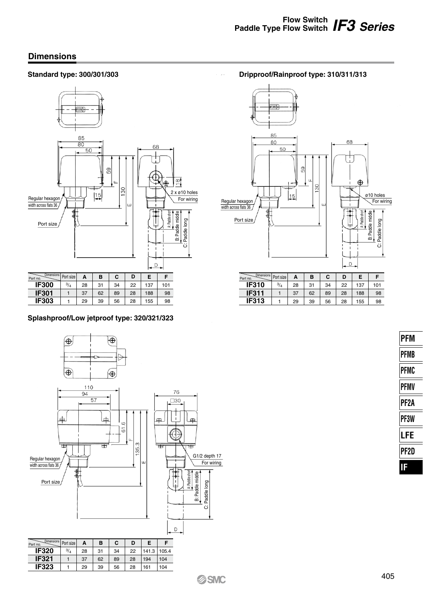**Dripproof/Rainproof type: 310/311/313**

### **Dimensions**

#### **Standard type: 300/301/303**



#### **Splashproof/Low jetproof type: 320/321/323**





| mensions<br>Part no. | Port size | А  | в  | C  | D  | Е   |     |
|----------------------|-----------|----|----|----|----|-----|-----|
| <b>IF310</b>         | $^{3/4}$  | 28 | 31 | 34 | 22 | 137 | 101 |
| <b>IF311</b>         |           | 37 | 62 | 89 | 28 | 188 | 98  |
| <b>IF313</b>         |           | 29 | 39 | 56 | 28 | 155 | 98  |
|                      |           |    |    |    |    |     |     |